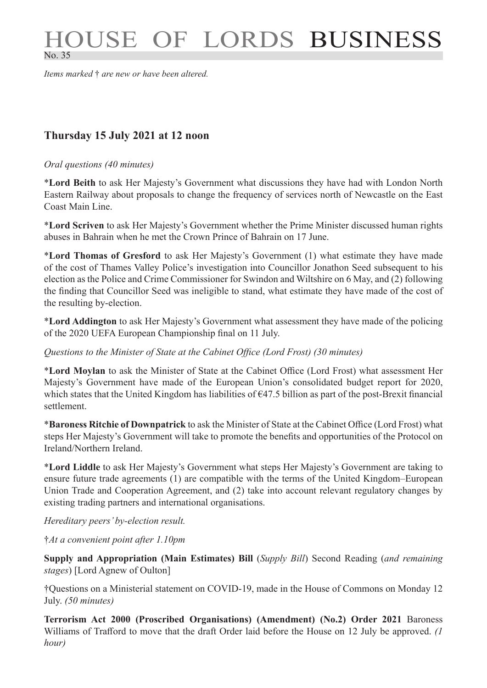# HOUSE OF LORDS BUSINESS No. 35

*Items marked* † *are new or have been altered.*

# **Thursday 15 July 2021 at 12 noon**

#### *Oral questions (40 minutes)*

\***Lord Beith** to ask Her Majesty's Government what discussions they have had with London North Eastern Railway about proposals to change the frequency of services north of Newcastle on the East Coast Main Line.

\***Lord Scriven** to ask Her Majesty's Government whether the Prime Minister discussed human rights abuses in Bahrain when he met the Crown Prince of Bahrain on 17 June.

\***Lord Thomas of Gresford** to ask Her Majesty's Government (1) what estimate they have made of the cost of Thames Valley Police's investigation into Councillor Jonathon Seed subsequent to his election as the Police and Crime Commissioner for Swindon and Wiltshire on 6 May, and (2) following the finding that Councillor Seed was ineligible to stand, what estimate they have made of the cost of the resulting by-election.

\***Lord Addington** to ask Her Majesty's Government what assessment they have made of the policing of the 2020 UEFA European Championship final on 11 July.

*Questions to the Minister of State at the Cabinet Office (Lord Frost) (30 minutes)*

\***Lord Moylan** to ask the Minister of State at the Cabinet Office (Lord Frost) what assessment Her Majesty's Government have made of the European Union's consolidated budget report for 2020, which states that the United Kingdom has liabilities of €47.5 billion as part of the post-Brexit financial settlement.

\***Baroness Ritchie of Downpatrick** to ask the Minister of State at the Cabinet Office (Lord Frost) what steps Her Majesty's Government will take to promote the benefits and opportunities of the Protocol on Ireland/Northern Ireland.

\***Lord Liddle** to ask Her Majesty's Government what steps Her Majesty's Government are taking to ensure future trade agreements (1) are compatible with the terms of the United Kingdom–European Union Trade and Cooperation Agreement, and (2) take into account relevant regulatory changes by existing trading partners and international organisations.

*Hereditary peers' by-election result.*

†*At a convenient point after 1.10pm*

**Supply and Appropriation (Main Estimates) Bill** (*Supply Bill*) Second Reading (*and remaining stages*) [Lord Agnew of Oulton]

†Questions on a Ministerial statement on COVID-19, made in the House of Commons on Monday 12 July. *(50 minutes)*

**Terrorism Act 2000 (Proscribed Organisations) (Amendment) (No.2) Order 2021** Baroness Williams of Trafford to move that the draft Order laid before the House on 12 July be approved. *(1 hour)*